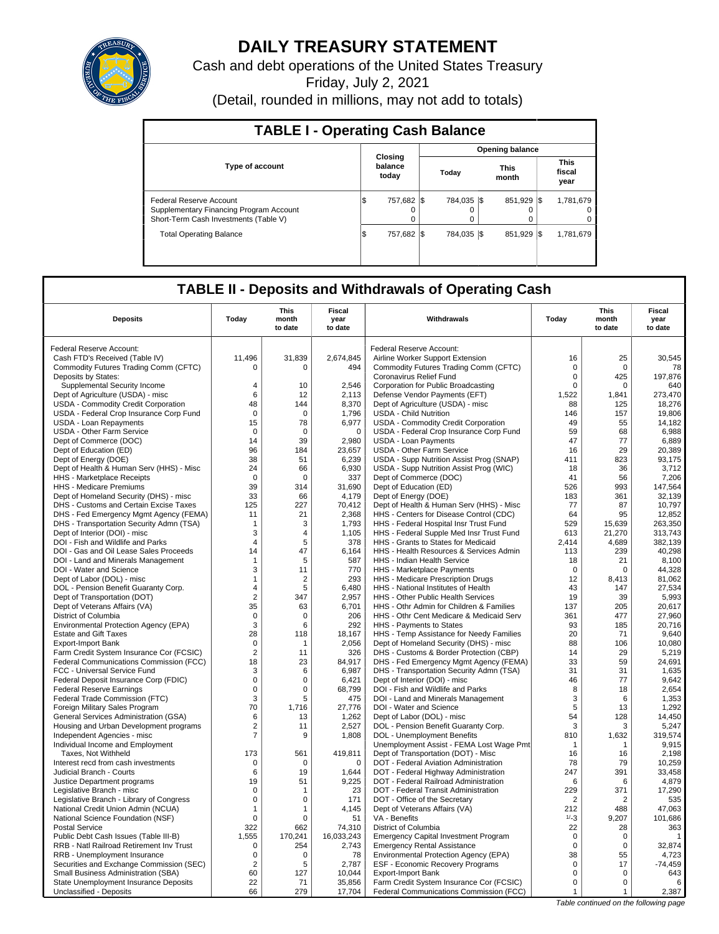

# **DAILY TREASURY STATEMENT**

Cash and debt operations of the United States Treasury

Friday, July 2, 2021

(Detail, rounded in millions, may not add to totals)

| <b>TABLE I - Operating Cash Balance</b>                                                                     |                  |          |                  |                        |         |      |                               |  |  |
|-------------------------------------------------------------------------------------------------------------|------------------|----------|------------------|------------------------|---------|------|-------------------------------|--|--|
|                                                                                                             |                  |          |                  | <b>Opening balance</b> |         |      |                               |  |  |
| <b>Type of account</b>                                                                                      | balance<br>today | Closing  |                  | This<br>month          |         |      | <b>This</b><br>fiscal<br>year |  |  |
| Federal Reserve Account<br>Supplementary Financing Program Account<br>Short-Term Cash Investments (Table V) | 757.682<br>1\$   | $\Omega$ | 784.035 \\$<br>0 |                        | 851.929 | -1\$ | 1,781,679<br>0<br>0           |  |  |
| <b>Total Operating Balance</b>                                                                              | 757.682<br>\$    |          | 784.035 \\$      |                        | 851.929 | -1\$ | 1,781,679                     |  |  |

## **TABLE II - Deposits and Withdrawals of Operating Cash**

| <b>Deposits</b>                                                           | Today                      | <b>This</b><br>month<br>to date | Fiscal<br>year<br>to date | Withdrawals                                                                        | Today                | <b>This</b><br>month<br>to date | Fiscal<br>year<br>to date |
|---------------------------------------------------------------------------|----------------------------|---------------------------------|---------------------------|------------------------------------------------------------------------------------|----------------------|---------------------------------|---------------------------|
|                                                                           |                            |                                 |                           |                                                                                    |                      |                                 |                           |
| Federal Reserve Account:                                                  |                            |                                 |                           | Federal Reserve Account:                                                           |                      |                                 |                           |
| Cash FTD's Received (Table IV)                                            | 11,496                     | 31,839                          | 2,674,845                 | Airline Worker Support Extension                                                   | 16                   | 25                              | 30,545                    |
| Commodity Futures Trading Comm (CFTC)                                     | $\Omega$                   | $\Omega$                        | 494                       | Commodity Futures Trading Comm (CFTC)                                              | 0                    | $\Omega$                        | 78                        |
| Deposits by States:                                                       | $\overline{4}$             |                                 |                           | Coronavirus Relief Fund                                                            | 0                    | 425                             | 197,876                   |
| Supplemental Security Income<br>Dept of Agriculture (USDA) - misc         | 6                          | 10<br>12                        | 2.546<br>2,113            | Corporation for Public Broadcasting<br>Defense Vendor Payments (EFT)               | $\mathbf 0$<br>1,522 | $\Omega$<br>1,841               | 640<br>273,470            |
| USDA - Commodity Credit Corporation                                       | 48                         | 144                             | 8,370                     | Dept of Agriculture (USDA) - misc                                                  | 88                   | 125                             | 18,276                    |
| USDA - Federal Crop Insurance Corp Fund                                   | $\mathbf 0$                | $\mathbf 0$                     | 1,796                     | <b>USDA - Child Nutrition</b>                                                      | 146                  | 157                             | 19,806                    |
| USDA - Loan Repayments                                                    | 15                         | 78                              | 6,977                     | USDA - Commodity Credit Corporation                                                | 49                   | 55                              | 14,182                    |
| <b>USDA - Other Farm Service</b>                                          | $\mathbf 0$                | $\mathbf 0$                     | $\mathbf 0$               | USDA - Federal Crop Insurance Corp Fund                                            | 59                   | 68                              | 6,988                     |
| Dept of Commerce (DOC)                                                    | 14                         | 39                              | 2,980                     | <b>USDA - Loan Payments</b>                                                        | 47                   | 77                              | 6,889                     |
| Dept of Education (ED)                                                    | 96                         | 184                             | 23,657                    | <b>USDA - Other Farm Service</b>                                                   | 16                   | 29                              | 20.389                    |
| Dept of Energy (DOE)                                                      | 38                         | 51                              | 6,239                     | USDA - Supp Nutrition Assist Prog (SNAP)                                           | 411                  | 823                             | 93,175                    |
| Dept of Health & Human Serv (HHS) - Misc                                  | 24                         | 66                              | 6.930                     | USDA - Supp Nutrition Assist Prog (WIC)                                            | 18                   | 36                              | 3,712                     |
| HHS - Marketplace Receipts                                                | $\mathbf 0$                | $\mathbf 0$                     | 337                       | Dept of Commerce (DOC)                                                             | 41                   | 56                              | 7,206                     |
| HHS - Medicare Premiums                                                   | 39                         | 314                             | 31,690                    | Dept of Education (ED)                                                             | 526                  | 993                             | 147.564                   |
| Dept of Homeland Security (DHS) - misc                                    | 33                         | 66                              | 4,179                     | Dept of Energy (DOE)                                                               | 183                  | 361                             | 32,139                    |
| DHS - Customs and Certain Excise Taxes                                    | 125                        | 227                             | 70,412                    | Dept of Health & Human Serv (HHS) - Misc                                           | 77                   | 87                              | 10,797                    |
| DHS - Fed Emergency Mgmt Agency (FEMA)                                    | 11<br>$\mathbf{1}$         | 21<br>3                         | 2,368                     | HHS - Centers for Disease Control (CDC)                                            | 64<br>529            | 95                              | 12.852                    |
| DHS - Transportation Security Admn (TSA)<br>Dept of Interior (DOI) - misc | 3                          | 4                               | 1,793<br>1.105            | HHS - Federal Hospital Insr Trust Fund<br>HHS - Federal Supple Med Insr Trust Fund | 613                  | 15,639<br>21,270                | 263,350<br>313,743        |
| DOI - Fish and Wildlife and Parks                                         | 4                          | 5                               | 378                       | HHS - Grants to States for Medicaid                                                | 2,414                | 4,689                           | 382,139                   |
| DOI - Gas and Oil Lease Sales Proceeds                                    | 14                         | 47                              | 6,164                     | HHS - Health Resources & Services Admin                                            | 113                  | 239                             | 40,298                    |
| DOI - Land and Minerals Management                                        | $\mathbf{1}$               | 5                               | 587                       | HHS - Indian Health Service                                                        | 18                   | 21                              | 8,100                     |
| DOI - Water and Science                                                   | 3                          | 11                              | 770                       | HHS - Marketplace Payments                                                         | $\Omega$             | $\Omega$                        | 44,328                    |
| Dept of Labor (DOL) - misc                                                | 1                          | $\overline{2}$                  | 293                       | HHS - Medicare Prescription Drugs                                                  | 12                   | 8,413                           | 81,062                    |
| DOL - Pension Benefit Guaranty Corp.                                      | $\overline{4}$             | 5                               | 6,480                     | HHS - National Institutes of Health                                                | 43                   | 147                             | 27,534                    |
| Dept of Transportation (DOT)                                              | $\overline{2}$             | 347                             | 2.957                     | <b>HHS - Other Public Health Services</b>                                          | 19                   | 39                              | 5,993                     |
| Dept of Veterans Affairs (VA)                                             | 35                         | 63                              | 6,701                     | HHS - Othr Admin for Children & Families                                           | 137                  | 205                             | 20,617                    |
| District of Columbia                                                      | $\mathbf 0$                | $\Omega$                        | 206                       | HHS - Othr Cent Medicare & Medicaid Serv                                           | 361                  | 477                             | 27.960                    |
| Environmental Protection Agency (EPA)                                     | 3                          | 6                               | 292                       | HHS - Payments to States                                                           | 93                   | 185                             | 20,716                    |
| <b>Estate and Gift Taxes</b>                                              | 28                         | 118                             | 18,167                    | HHS - Temp Assistance for Needy Families                                           | 20                   | 71                              | 9,640                     |
| <b>Export-Import Bank</b>                                                 | $\mathbf 0$                | 1                               | 2,056                     | Dept of Homeland Security (DHS) - misc                                             | 88                   | 106                             | 10,080                    |
| Farm Credit System Insurance Cor (FCSIC)                                  | $\overline{2}$             | 11                              | 326                       | DHS - Customs & Border Protection (CBP)                                            | 14                   | 29                              | 5,219                     |
| Federal Communications Commission (FCC)<br>FCC - Universal Service Fund   | 18<br>3                    | 23<br>6                         | 84,917<br>6,987           | DHS - Fed Emergency Mgmt Agency (FEMA)<br>DHS - Transportation Security Admn (TSA) | 33<br>31             | 59<br>31                        | 24,691<br>1,635           |
| Federal Deposit Insurance Corp (FDIC)                                     | $\mathbf 0$                | $\Omega$                        | 6.421                     | Dept of Interior (DOI) - misc                                                      | 46                   | 77                              | 9.642                     |
| <b>Federal Reserve Earnings</b>                                           | $\mathbf 0$                | 0                               | 68,799                    | DOI - Fish and Wildlife and Parks                                                  | 8                    | 18                              | 2,654                     |
| Federal Trade Commission (FTC)                                            | 3                          | 5                               | 475                       | DOI - Land and Minerals Management                                                 | 3                    | 6                               | 1,353                     |
| Foreign Military Sales Program                                            | 70                         | 1,716                           | 27,776                    | DOI - Water and Science                                                            | 5                    | 13                              | 1,292                     |
| General Services Administration (GSA)                                     | 6                          | 13                              | 1,262                     | Dept of Labor (DOL) - misc                                                         | 54                   | 128                             | 14,450                    |
| Housing and Urban Development programs                                    | $\overline{2}$             | 11                              | 2,527                     | DOL - Pension Benefit Guaranty Corp.                                               | 3                    | 3                               | 5,247                     |
| Independent Agencies - misc                                               | 7                          | 9                               | 1,808                     | DOL - Unemployment Benefits                                                        | 810                  | 1,632                           | 319,574                   |
| Individual Income and Employment                                          |                            |                                 |                           | Unemployment Assist - FEMA Lost Wage Pmt                                           | 1                    | $\mathbf 1$                     | 9.915                     |
| Taxes, Not Withheld                                                       | 173                        | 561                             | 419,811                   | Dept of Transportation (DOT) - Misc                                                | 16                   | 16                              | 2,198                     |
| Interest recd from cash investments                                       | $\Omega$                   | $\Omega$                        | $\mathbf 0$               | DOT - Federal Aviation Administration                                              | 78                   | 79                              | 10.259                    |
| Judicial Branch - Courts                                                  | 6                          | 19                              | 1,644                     | DOT - Federal Highway Administration                                               | 247                  | 391                             | 33,458                    |
| Justice Department programs                                               | 19                         | 51                              | 9,225<br>23               | DOT - Federal Railroad Administration<br>DOT - Federal Transit Administration      | 6<br>229             | 6<br>371                        | 4,879<br>17,290           |
| Legislative Branch - misc<br>Legislative Branch - Library of Congress     | $\mathbf 0$<br>$\mathbf 0$ | -1<br>0                         | 171                       | DOT - Office of the Secretary                                                      | 2                    | $\overline{2}$                  | 535                       |
| National Credit Union Admin (NCUA)                                        | 1                          | 1                               | 4.145                     | Dept of Veterans Affairs (VA)                                                      | 212                  | 488                             | 47,063                    |
| National Science Foundation (NSF)                                         | $\Omega$                   | $\Omega$                        | 51                        | VA - Benefits                                                                      | $1/-3$               | 9,207                           | 101,686                   |
| <b>Postal Service</b>                                                     | 322                        | 662                             | 74,310                    | District of Columbia                                                               | 22                   | 28                              | 363                       |
| Public Debt Cash Issues (Table III-B)                                     | 1,555                      | 170,241                         | 16,033,243                | <b>Emergency Capital Investment Program</b>                                        | $\mathbf 0$          | $\mathbf 0$                     | $\mathbf{1}$              |
| RRB - Natl Railroad Retirement Inv Trust                                  | $\Omega$                   | 254                             | 2,743                     | <b>Emergency Rental Assistance</b>                                                 | $\Omega$             | $\Omega$                        | 32,874                    |
| RRB - Unemployment Insurance                                              | $\mathbf 0$                | $\mathbf 0$                     | 78                        | Environmental Protection Agency (EPA)                                              | 38                   | 55                              | 4,723                     |
| Securities and Exchange Commission (SEC)                                  | 2                          | 5                               | 2,787                     | ESF - Economic Recovery Programs                                                   | 0                    | 17                              | $-74,459$                 |
| Small Business Administration (SBA)                                       | 60                         | 127                             | 10,044                    | <b>Export-Import Bank</b>                                                          | $\mathbf 0$          | $\mathbf 0$                     | 643                       |
| State Unemployment Insurance Deposits                                     | 22                         | 71                              | 35,856                    | Farm Credit System Insurance Cor (FCSIC)                                           | $\Omega$             | $\Omega$                        | 6                         |
| Unclassified - Deposits                                                   | 66                         | 279                             | 17,704                    | Federal Communications Commission (FCC)                                            | 1                    | $\mathbf{1}$                    | 2,387                     |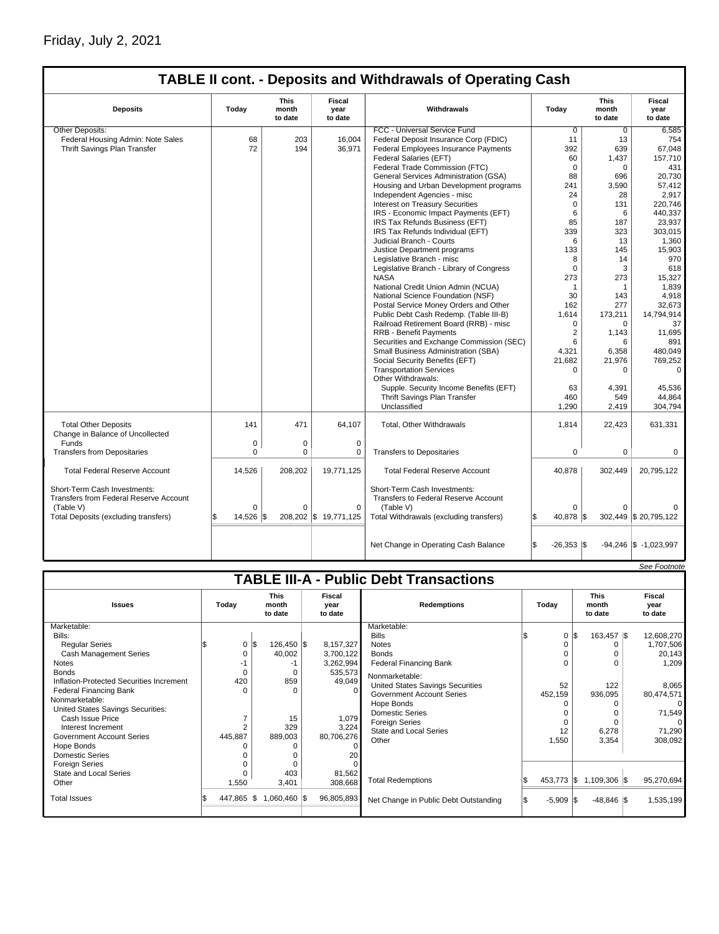## Friday, July 2, 2021

## **TABLE II cont. - Deposits and Withdrawals of Operating Cash**

| <b>Deposits</b>                                                                     | Today           | <b>This</b><br>month<br>to date | Fiscal<br>year<br>to date | Withdrawals                                                                              | Today                       | <b>This</b><br>month<br>to date | Fiscal<br>year<br>to date  |
|-------------------------------------------------------------------------------------|-----------------|---------------------------------|---------------------------|------------------------------------------------------------------------------------------|-----------------------------|---------------------------------|----------------------------|
| Other Deposits:                                                                     |                 |                                 |                           | FCC - Universal Service Fund                                                             | $\overline{0}$              | $\overline{0}$                  | 6,585                      |
| Federal Housing Admin: Note Sales                                                   | 68              | 203                             | 16,004                    | Federal Deposit Insurance Corp (FDIC)                                                    | 11                          | 13                              | 754                        |
| Thrift Savings Plan Transfer                                                        | 72              | 194                             | 36,971                    | Federal Employees Insurance Payments                                                     | 392                         | 639                             | 67,048                     |
|                                                                                     |                 |                                 |                           | Federal Salaries (EFT)                                                                   | 60                          | 1,437                           | 157,710                    |
|                                                                                     |                 |                                 |                           | Federal Trade Commission (FTC)                                                           | $\Omega$                    | $\Omega$                        | 431                        |
|                                                                                     |                 |                                 |                           | General Services Administration (GSA)                                                    | 88                          | 696                             | 20,730                     |
|                                                                                     |                 |                                 |                           | Housing and Urban Development programs                                                   | 241                         | 3,590                           | 57,412                     |
|                                                                                     |                 |                                 |                           | Independent Agencies - misc                                                              | 24                          | 28                              | 2.917                      |
|                                                                                     |                 |                                 |                           | Interest on Treasury Securities                                                          | $\mathbf 0$                 | 131                             | 220.746                    |
|                                                                                     |                 |                                 |                           | IRS - Economic Impact Payments (EFT)                                                     | 6                           | 6                               | 440,337                    |
|                                                                                     |                 |                                 |                           | IRS Tax Refunds Business (EFT)                                                           | 85                          | 187                             | 23,937                     |
|                                                                                     |                 |                                 |                           | IRS Tax Refunds Individual (EFT)                                                         | 339                         | 323                             | 303,015                    |
|                                                                                     |                 |                                 |                           | Judicial Branch - Courts                                                                 | 6                           | 13                              | 1,360                      |
|                                                                                     |                 |                                 |                           |                                                                                          |                             | 145                             | 15.903                     |
|                                                                                     |                 |                                 |                           | Justice Department programs                                                              | 133                         |                                 |                            |
|                                                                                     |                 |                                 |                           | Legislative Branch - misc                                                                | 8<br>$\Omega$               | 14                              | 970                        |
|                                                                                     |                 |                                 |                           | Legislative Branch - Library of Congress                                                 |                             | 3                               | 618                        |
|                                                                                     |                 |                                 |                           | <b>NASA</b>                                                                              | 273                         | 273                             | 15.327                     |
|                                                                                     |                 |                                 |                           | National Credit Union Admin (NCUA)                                                       | $\mathbf{1}$                | $\mathbf{1}$                    | 1,839                      |
|                                                                                     |                 |                                 |                           | National Science Foundation (NSF)                                                        | 30                          | 143                             | 4,918                      |
|                                                                                     |                 |                                 |                           | Postal Service Money Orders and Other                                                    | 162                         | 277                             | 32,673                     |
|                                                                                     |                 |                                 |                           | Public Debt Cash Redemp. (Table III-B)                                                   | 1,614                       | 173,211                         | 14,794,914                 |
|                                                                                     |                 |                                 |                           | Railroad Retirement Board (RRB) - misc                                                   | $\Omega$                    | $\Omega$                        | 37                         |
|                                                                                     |                 |                                 |                           | RRB - Benefit Payments                                                                   | $\overline{2}$              | 1,143                           | 11,695                     |
|                                                                                     |                 |                                 |                           | Securities and Exchange Commission (SEC)                                                 | 6                           | 6                               | 891                        |
|                                                                                     |                 |                                 |                           | Small Business Administration (SBA)                                                      | 4,321                       | 6,358                           | 480.049                    |
|                                                                                     |                 |                                 |                           | Social Security Benefits (EFT)                                                           | 21,682                      | 21,976                          | 769,252                    |
|                                                                                     |                 |                                 |                           | <b>Transportation Services</b>                                                           | $\Omega$                    | $\Omega$                        | $\Omega$                   |
|                                                                                     |                 |                                 |                           | Other Withdrawals:                                                                       |                             |                                 |                            |
|                                                                                     |                 |                                 |                           | Supple. Security Income Benefits (EFT)                                                   | 63                          | 4,391                           | 45,536                     |
|                                                                                     |                 |                                 |                           | Thrift Savings Plan Transfer                                                             | 460                         | 549                             | 44.864                     |
|                                                                                     |                 |                                 |                           | Unclassified                                                                             | 1,290                       | 2,419                           | 304,794                    |
| <b>Total Other Deposits</b><br>Change in Balance of Uncollected                     | 141             | 471                             | 64,107                    | <b>Total, Other Withdrawals</b>                                                          | 1,814                       | 22,423                          | 631,331                    |
| Funds                                                                               | 0               | 0                               | $\mathbf 0$               |                                                                                          |                             |                                 |                            |
| <b>Transfers from Depositaries</b>                                                  | $\mathbf 0$     | 0                               | $\mathbf 0$               | <b>Transfers to Depositaries</b>                                                         | $\mathbf 0$                 | $\mathbf 0$                     | $\mathbf 0$                |
| <b>Total Federal Reserve Account</b>                                                | 14,526          | 208,202                         | 19,771,125                | <b>Total Federal Reserve Account</b>                                                     | 40,878                      | 302,449                         | 20,795,122                 |
| Short-Term Cash Investments:<br>Transfers from Federal Reserve Account<br>(Table V) | $\mathbf 0$     | $\Omega$                        | $\mathbf 0$               | Short-Term Cash Investments:<br><b>Transfers to Federal Reserve Account</b><br>(Table V) | $\Omega$                    | $\Omega$                        |                            |
| Total Deposits (excluding transfers)                                                | 14,526 \$<br>S. |                                 | 208,202 \$ 19,771,125     | Total Withdrawals (excluding transfers)                                                  | 40,878 \$<br>l\$            |                                 | 302,449 \$20,795,122       |
|                                                                                     |                 |                                 |                           | Net Change in Operating Cash Balance                                                     | l\$<br>$-26,353$ $\sqrt{5}$ |                                 | $-94,246$ \\$ $-1,023,997$ |

|                                               |                |                                 |  |                           |                                         |  |              |                                 |  | See Footnote              |  |
|-----------------------------------------------|----------------|---------------------------------|--|---------------------------|-----------------------------------------|--|--------------|---------------------------------|--|---------------------------|--|
| <b>TABLE III-A - Public Debt Transactions</b> |                |                                 |  |                           |                                         |  |              |                                 |  |                           |  |
| <b>Issues</b>                                 | Today          | <b>This</b><br>month<br>to date |  | Fiscal<br>vear<br>to date | <b>Redemptions</b>                      |  | Today        | <b>This</b><br>month<br>to date |  | Fiscal<br>vear<br>to date |  |
| Marketable:                                   |                |                                 |  |                           | Marketable:                             |  |              |                                 |  |                           |  |
| Bills:                                        |                |                                 |  |                           | <b>Bills</b>                            |  | 0            | 163,457 \$                      |  | 12,608,270                |  |
| <b>Reqular Series</b>                         | 0              | \$<br>126,450 \$                |  | 8,157,327                 | <b>Notes</b>                            |  | $\Omega$     |                                 |  | 1,707,506                 |  |
| <b>Cash Management Series</b>                 | O              | 40,002                          |  | 3,700,122                 | <b>Bonds</b>                            |  | $\Omega$     |                                 |  | 20,143                    |  |
| <b>Notes</b>                                  |                | -1                              |  | 3,262,994                 | <b>Federal Financing Bank</b>           |  | $\Omega$     |                                 |  | 1,209                     |  |
| <b>Bonds</b>                                  | 0              | $\Omega$                        |  | 535,573                   | Nonmarketable:                          |  |              |                                 |  |                           |  |
| Inflation-Protected Securities Increment      | 420            | 859                             |  | 49,049                    | <b>United States Savings Securities</b> |  | 52           | 122                             |  | 8,065                     |  |
| <b>Federal Financing Bank</b>                 | $\Omega$       | O                               |  | $\Omega$                  | <b>Government Account Series</b>        |  | 452,159      | 936,095                         |  | 80,474,571                |  |
| Nonmarketable:                                |                |                                 |  |                           | Hope Bonds                              |  |              |                                 |  |                           |  |
| United States Savings Securities:             |                |                                 |  |                           | <b>Domestic Series</b>                  |  |              |                                 |  | 71,549                    |  |
| Cash Issue Price                              | ⇁              | 15                              |  | 1,079                     | <b>Foreign Series</b>                   |  | n            |                                 |  |                           |  |
| Interest Increment                            | $\overline{2}$ | 329                             |  | 3,224                     | <b>State and Local Series</b>           |  | 12           | 6,278                           |  | 71,290                    |  |
| <b>Government Account Series</b>              | 445,887        | 889,003                         |  | 80,706,276                | Other                                   |  | 1,550        | 3,354                           |  | 308,092                   |  |
| Hope Bonds                                    |                | O                               |  | $\Omega$                  |                                         |  |              |                                 |  |                           |  |
| Domestic Series                               |                | O                               |  | 20                        |                                         |  |              |                                 |  |                           |  |
| <b>Foreign Series</b>                         |                | O                               |  |                           |                                         |  |              |                                 |  |                           |  |
| State and Local Series                        |                | 403                             |  | 81,562                    |                                         |  |              |                                 |  |                           |  |
| Other                                         | 1,550          | 3,401                           |  | 308,668                   | <b>Total Redemptions</b>                |  | 453,773 \$   | $1,109,306$ \\$                 |  | 95,270,694                |  |
| <b>Total Issues</b>                           | 447,865 \$     | 1,060,460 \$                    |  | 96,805,893                | Net Change in Public Debt Outstanding   |  | $-5,909$ \\$ | $-48,846$ \\$                   |  | 1,535,199                 |  |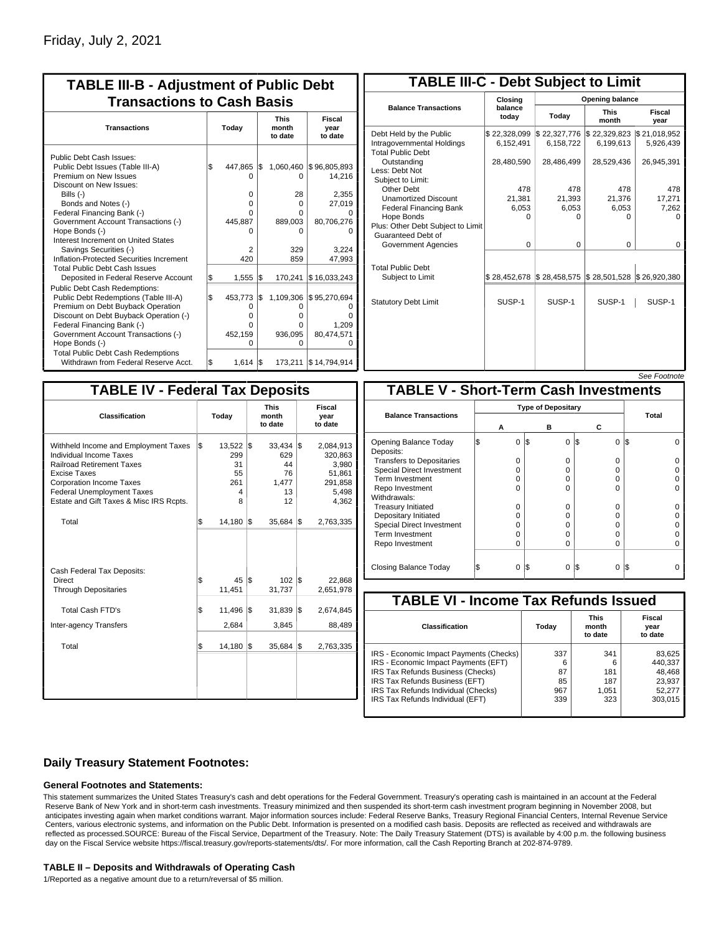| <b>TABLE III-B - Adjustment of Public Debt</b><br><b>Transactions to Cash Basis</b>                                                                                                                                                                                                                                                                                                              |     |                                               |     |                                                                     |                                                                            |                                 |                           |  |  |
|--------------------------------------------------------------------------------------------------------------------------------------------------------------------------------------------------------------------------------------------------------------------------------------------------------------------------------------------------------------------------------------------------|-----|-----------------------------------------------|-----|---------------------------------------------------------------------|----------------------------------------------------------------------------|---------------------------------|---------------------------|--|--|
| <b>Transactions</b>                                                                                                                                                                                                                                                                                                                                                                              |     | Today                                         |     |                                                                     |                                                                            | <b>This</b><br>month<br>to date | Fiscal<br>year<br>to date |  |  |
| Public Debt Cash Issues:<br>Public Debt Issues (Table III-A)<br>Premium on New Issues<br>Discount on New Issues:<br>Bills (-)<br>Bonds and Notes (-)<br>Federal Financing Bank (-)<br>Government Account Transactions (-)<br>Hope Bonds (-)<br>Interest Increment on United States<br>Savings Securities (-)<br>Inflation-Protected Securities Increment<br><b>Total Public Debt Cash Issues</b> | 1\$ | 447,865<br>0<br>0<br>U<br>445,887<br>2<br>420 | l\$ | 1,060,460<br>0<br>28<br>$\Omega$<br>U<br>889,003<br>ი<br>329<br>859 | \$96,805,893<br>14.216<br>2,355<br>27,019<br>80,706,276<br>3,224<br>47,993 |                                 |                           |  |  |
| Deposited in Federal Reserve Account                                                                                                                                                                                                                                                                                                                                                             | \$  | 1,555                                         | l\$ | 170,241                                                             | \$16,033,243                                                               |                                 |                           |  |  |
| Public Debt Cash Redemptions:<br>Public Debt Redemptions (Table III-A)<br>Premium on Debt Buyback Operation<br>Discount on Debt Buyback Operation (-)<br>Federal Financing Bank (-)<br>Government Account Transactions (-)<br>Hope Bonds (-)<br><b>Total Public Debt Cash Redemptions</b>                                                                                                        | \$  | 453,773<br>0<br>$\Omega$<br>U<br>452,159<br>O | l\$ | 1,109,306<br>0<br>o<br>U<br>936,095<br>$\Omega$                     | \$95,270,694<br>1,209<br>80,474,571<br>n                                   |                                 |                           |  |  |
| Withdrawn from Federal Reserve Acct.                                                                                                                                                                                                                                                                                                                                                             | l\$ | 1,614                                         | 1\$ |                                                                     | 173,211   \$14,794,914                                                     |                                 |                           |  |  |

| <b>TABLE III-C - Debt Subject to Limit</b>                                        |                           |                           |                                                   |                           |  |  |  |  |  |
|-----------------------------------------------------------------------------------|---------------------------|---------------------------|---------------------------------------------------|---------------------------|--|--|--|--|--|
|                                                                                   | Closing                   |                           | Opening balance                                   |                           |  |  |  |  |  |
| <b>Balance Transactions</b>                                                       | balance<br>today          | Today                     | <b>This</b><br>month                              | Fiscal<br>year            |  |  |  |  |  |
| Debt Held by the Public<br>Intragovernmental Holdings<br><b>Total Public Debt</b> | \$22,328,099<br>6,152,491 | \$22,327,776<br>6,158,722 | \$22,329,823<br>6,199,613                         | \$21,018,952<br>5,926,439 |  |  |  |  |  |
| Outstanding<br>Less: Debt Not<br>Subject to Limit:                                | 28,480,590                | 28,486,499                | 28,529,436                                        | 26,945,391                |  |  |  |  |  |
| Other Debt                                                                        | 478                       | 478                       | 478                                               | 478                       |  |  |  |  |  |
| <b>Unamortized Discount</b>                                                       | 21,381                    | 21,393                    | 21,376                                            | 17,271                    |  |  |  |  |  |
| <b>Federal Financing Bank</b>                                                     | 6,053                     | 6,053                     | 6,053                                             | 7,262                     |  |  |  |  |  |
| Hope Bonds                                                                        | O                         | O                         | n                                                 | o                         |  |  |  |  |  |
| Plus: Other Debt Subject to Limit<br>Guaranteed Debt of                           |                           |                           |                                                   |                           |  |  |  |  |  |
| Government Agencies                                                               | $\Omega$                  | $\Omega$                  | $\Omega$                                          | 0                         |  |  |  |  |  |
| <b>Total Public Debt</b>                                                          | \$28,452,678              | \$28,458,575              | $\frac{1}{2}$ 28,501,528 $\frac{1}{2}$ 26,920,380 |                           |  |  |  |  |  |
| Subject to Limit                                                                  |                           |                           |                                                   |                           |  |  |  |  |  |
| <b>Statutory Debt Limit</b>                                                       | SUSP-1                    | SUSP-1                    | SUSP-1                                            | SUSP-1                    |  |  |  |  |  |
|                                                                                   |                           |                           |                                                   |                           |  |  |  |  |  |
|                                                                                   |                           |                           |                                                   |                           |  |  |  |  |  |
|                                                                                   |                           |                           |                                                   |                           |  |  |  |  |  |

See Footnote

| Classification                                                                                                                                                                                                                                |     | <b>TABLE IV - Federal Tax Deposits</b><br>Today         |     | <b>This</b><br>month<br>to date                      | Fiscal<br>year<br>to date |                                                                      |  |
|-----------------------------------------------------------------------------------------------------------------------------------------------------------------------------------------------------------------------------------------------|-----|---------------------------------------------------------|-----|------------------------------------------------------|---------------------------|----------------------------------------------------------------------|--|
| Withheld Income and Employment Taxes<br>Individual Income Taxes<br><b>Railroad Retirement Taxes</b><br><b>Excise Taxes</b><br><b>Corporation Income Taxes</b><br><b>Federal Unemployment Taxes</b><br>Estate and Gift Taxes & Misc IRS Rcpts. | l\$ | $13,522$ $\sqrt{5}$<br>299<br>31<br>55<br>261<br>4<br>8 |     | $33,434$ \\$<br>629<br>44<br>76<br>1,477<br>13<br>12 |                           | 2,084,913<br>320,863<br>3,980<br>51,861<br>291,858<br>5,498<br>4,362 |  |
| Total                                                                                                                                                                                                                                         | \$  | 14,180                                                  | 1\$ | $35,684$ \\$                                         |                           | 2,763,335                                                            |  |
| Cash Federal Tax Deposits:<br>Direct<br><b>Through Depositaries</b>                                                                                                                                                                           | \$  | 45<br>11,451                                            | I\$ | $102$ $\text{S}$<br>31,737                           |                           | 22,868<br>2,651,978                                                  |  |
| Total Cash FTD's<br>Inter-agency Transfers                                                                                                                                                                                                    | \$  | 11,496<br>2,684                                         | l\$ | 31,839<br>3,845                                      | l\$                       | 2,674,845<br>88,489                                                  |  |
| Total                                                                                                                                                                                                                                         | \$  | 14,180                                                  | 1\$ | $35,684$ \\$                                         |                           | 2,763,335                                                            |  |

|                                              |   |                           |     |          |          | טעט ו טטעו |  |  |
|----------------------------------------------|---|---------------------------|-----|----------|----------|------------|--|--|
| <b>TABLE V - Short-Term Cash Investments</b> |   |                           |     |          |          |            |  |  |
|                                              |   | <b>Type of Depositary</b> |     |          |          |            |  |  |
| <b>Balance Transactions</b>                  |   | А                         |     | в        | С        | Total      |  |  |
|                                              |   |                           |     |          |          |            |  |  |
| Opening Balance Today<br>Deposits:           | S | 0                         | 1\$ | $\Omega$ | 0<br>1\$ | I\$        |  |  |
| <b>Transfers to Depositaries</b>             |   | O                         |     | $\Omega$ | O        |            |  |  |
| <b>Special Direct Investment</b>             |   | O                         |     | 0        | 0        |            |  |  |
| Term Investment                              |   | O                         |     | 0        | 0        |            |  |  |
| Repo Investment                              |   | O                         |     | $\Omega$ | O        |            |  |  |
| Withdrawals:                                 |   |                           |     |          |          |            |  |  |
| <b>Treasury Initiated</b>                    |   | O                         |     | $\Omega$ | O        |            |  |  |
| Depositary Initiated                         |   | O                         |     | 0        | 0        |            |  |  |
| <b>Special Direct Investment</b>             |   | 0                         |     | 0        | O        |            |  |  |
| <b>Term Investment</b>                       |   | O                         |     | $\Omega$ | O        |            |  |  |
| Repo Investment                              |   | 0                         |     | $\Omega$ | 0        |            |  |  |
|                                              |   |                           |     |          |          |            |  |  |
| Closing Balance Today                        |   | 0                         | I\$ | $\Omega$ | I\$<br>0 | I\$        |  |  |

| <b>TABLE VI - Income Tax Refunds Issued</b> |       |                                 |                           |  |  |  |  |  |  |
|---------------------------------------------|-------|---------------------------------|---------------------------|--|--|--|--|--|--|
| Classification                              | Today | <b>This</b><br>month<br>to date | Fiscal<br>year<br>to date |  |  |  |  |  |  |
| IRS - Economic Impact Payments (Checks)     | 337   | 341                             | 83,625                    |  |  |  |  |  |  |
| IRS - Economic Impact Payments (EFT)        | 6     | 6                               | 440.337                   |  |  |  |  |  |  |
| IRS Tax Refunds Business (Checks)           | 87    | 181                             | 48,468                    |  |  |  |  |  |  |
| IRS Tax Refunds Business (EFT)              | 85    | 187                             | 23,937                    |  |  |  |  |  |  |
| IRS Tax Refunds Individual (Checks)         | 967   | 1,051                           | 52,277                    |  |  |  |  |  |  |
| IRS Tax Refunds Individual (EFT)            | 339   | 323                             | 303.015                   |  |  |  |  |  |  |

### **Daily Treasury Statement Footnotes:**

### **General Footnotes and Statements:**

This statement summarizes the United States Treasury's cash and debt operations for the Federal Government. Treasury's operating cash is maintained in an account at the Federal Reserve Bank of New York and in short-term cash investments. Treasury minimized and then suspended its short-term cash investment program beginning in November 2008, but anticipates investing again when market conditions warrant. Major information sources include: Federal Reserve Banks, Treasury Regional Financial Centers, Internal Revenue Service Centers, various electronic systems, and information on the Public Debt. Information is presented on a modified cash basis. Deposits are reflected as received and withdrawals are reflected as processed.SOURCE: Bureau of the Fiscal Service, Department of the Treasury. Note: The Daily Treasury Statement (DTS) is available by 4:00 p.m. the following business day on the Fiscal Service website https://fiscal.treasury.gov/reports-statements/dts/. For more information, call the Cash Reporting Branch at 202-874-9789.

#### **TABLE II – Deposits and Withdrawals of Operating Cash**

1/Reported as a negative amount due to a return/reversal of \$5 million.